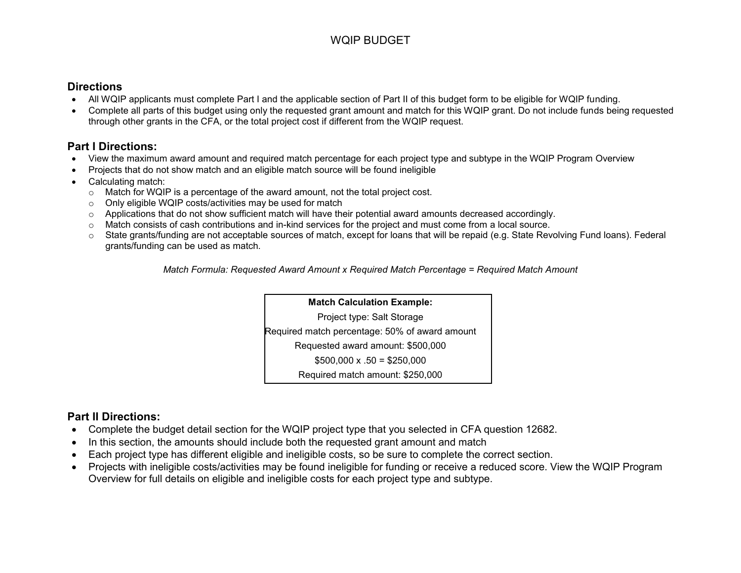#### WQIP BUDGET

#### **Directions**

- All WQIP applicants must complete Part I and the applicable section of Part II of this budget form to be eligible for WQIP funding.
- Complete all parts of this budget using only the requested grant amount and match for this WQIP grant. Do not include funds being requested through other grants in the CFA, or the total project cost if different from the WQIP request.

#### **Part I Directions:**

- View the maximum award amount and required match percentage for each project type and subtype in the WQIP Program Overview
- Projects that do not show match and an eligible match source will be found ineligible
- Calculating match:
	- o Match for WQIP is a percentage of the award amount, not the total project cost.
	- o Only eligible WQIP costs/activities may be used for match
	- $\circ$  Applications that do not show sufficient match will have their potential award amounts decreased accordingly.
	- o Match consists of cash contributions and in-kind services for the project and must come from a local source.
	- o State grants/funding are not acceptable sources of match, except for loans that will be repaid (e.g. State Revolving Fund loans). Federal grants/funding can be used as match.

 *Match Formula: Requested Award Amount x Required Match Percentage = Required Match Amount*

#### **Match Calculation Example:**

Project type: Salt Storage

Required match percentage: 50% of award amount

Requested award amount: \$500,000

 $$500,000 \times .50 = $250,000$ 

Required match amount: \$250,000

#### **Part II Directions:**

- Complete the budget detail section for the WQIP project type that you selected in CFA question 12682.
- In this section, the amounts should include both the requested grant amount and match
- Each project type has different eligible and ineligible costs, so be sure to complete the correct section.
- Projects with ineligible costs/activities may be found ineligible for funding or receive a reduced score. View the WQIP Program Overview for full details on eligible and ineligible costs for each project type and subtype.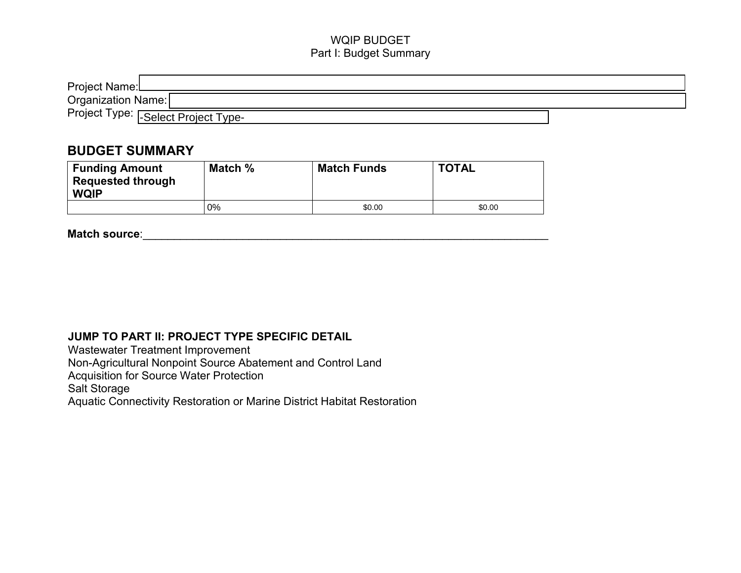#### WQIP BUDGET Part I: Budget Summary

| Project Name:L                     |  |  |
|------------------------------------|--|--|
| Organization Name:                 |  |  |
| Project Type: Select Project Type- |  |  |

#### **BUDGET SUMMARY**

| Project Type.  -Select Project Type-<br><b>BUDGET SUMMARY</b>                                                     |    |        |        |  |
|-------------------------------------------------------------------------------------------------------------------|----|--------|--------|--|
| Match %<br><b>TOTAL</b><br><b>Funding Amount</b><br><b>Match Funds</b><br><b>Requested through</b><br><b>WQIP</b> |    |        |        |  |
|                                                                                                                   | 0% | \$0.00 | \$0.00 |  |

Match source: **Match source: Match** source:

#### **JUMP TO PART II: PROJECT TYPE SPECIFIC DETAIL**

[Wastewater Treatment Improvement](#page-2-0)  [Non-Agricultural Nonpoint Source Abatement and Control](#page-3-0) Land

[Acquisition for Source Water Protection](#page-5-0) 

[Salt Storage](#page-7-0) 

Aquatic Connectivity Restoration [or Marine District Habitat Restoration](#page-8-0)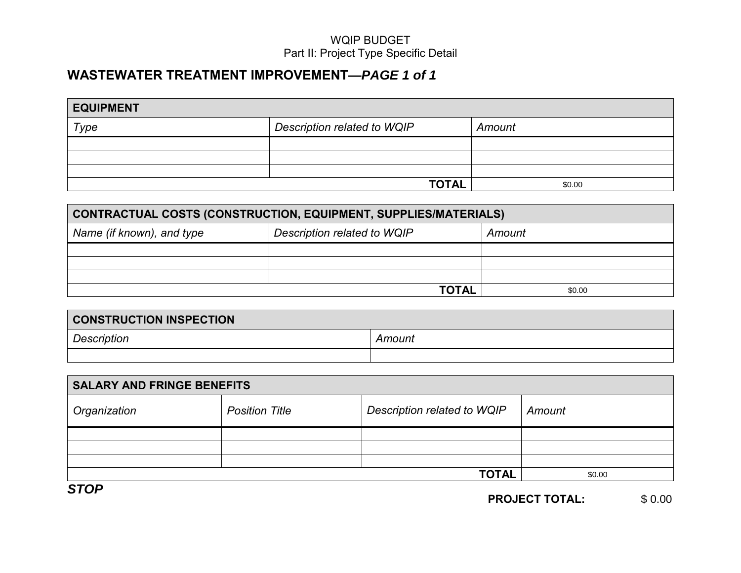# <span id="page-2-0"></span>**WASTEWATER TREATMENT IMPROVEMENT—***PAGE 1 of 1*

| <b>EQUIPMENT</b> |                             |        |  |  |
|------------------|-----------------------------|--------|--|--|
| Type             | Description related to WQIP | Amount |  |  |
|                  |                             |        |  |  |
|                  |                             |        |  |  |
|                  |                             |        |  |  |
|                  | <b>TOTAL</b>                | \$0.00 |  |  |

| CONTRACTUAL COSTS (CONSTRUCTION, EQUIPMENT, SUPPLIES/MATERIALS) |                                       |  |  |  |  |
|-----------------------------------------------------------------|---------------------------------------|--|--|--|--|
| Name (if known), and type                                       | Description related to WQIP<br>Amount |  |  |  |  |
|                                                                 |                                       |  |  |  |  |
|                                                                 |                                       |  |  |  |  |
|                                                                 |                                       |  |  |  |  |
| <b>TOTAL</b><br>\$0.00                                          |                                       |  |  |  |  |

| <b>CONSTRUCTION INSPECTION</b> |        |
|--------------------------------|--------|
| Description                    | Amount |
|                                |        |

|                                   |                       | <b>TOTAL</b>                | \$0.00 |
|-----------------------------------|-----------------------|-----------------------------|--------|
|                                   |                       |                             |        |
| <b>CONSTRUCTION INSPECTION</b>    |                       |                             |        |
| Description                       |                       | Amount                      |        |
|                                   |                       |                             |        |
|                                   |                       |                             |        |
| <b>SALARY AND FRINGE BENEFITS</b> |                       |                             |        |
| Organization                      | <b>Position Title</b> | Description related to WQIP | Amount |
|                                   |                       |                             |        |
|                                   |                       |                             |        |
|                                   |                       |                             |        |
|                                   |                       | <b>TOTAL</b>                | \$0.00 |
| <b>STOP</b>                       |                       |                             |        |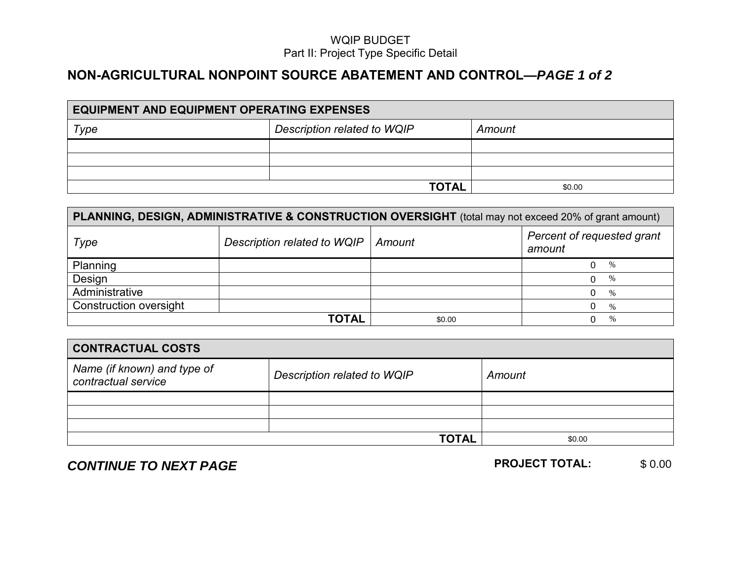## <span id="page-3-0"></span> **NON-AGRICULTURAL NONPOINT SOURCE ABATEMENT AND CONTROL—***PAGE 1 of 2*

| <b>EQUIPMENT AND EQUIPMENT OPERATING EXPENSES</b> |                                       |  |  |  |  |
|---------------------------------------------------|---------------------------------------|--|--|--|--|
| Type                                              | Description related to WQIP<br>Amount |  |  |  |  |
|                                                   |                                       |  |  |  |  |
|                                                   |                                       |  |  |  |  |
|                                                   |                                       |  |  |  |  |
| <b>TOTAL</b><br>\$0.00                            |                                       |  |  |  |  |

| PLANNING, DESIGN, ADMINISTRATIVE & CONSTRUCTION OVERSIGHT (total may not exceed 20% of grant amount) |                             |        |                                      |
|------------------------------------------------------------------------------------------------------|-----------------------------|--------|--------------------------------------|
| Type                                                                                                 | Description related to WQIP | Amount | Percent of requested grant<br>amount |
| Planning                                                                                             |                             |        | %                                    |
| Design                                                                                               |                             |        | $\%$                                 |
| Administrative                                                                                       |                             |        | $\%$                                 |
| <b>Construction oversight</b>                                                                        |                             |        | $\%$                                 |
| <b>TOTAL</b><br>$\%$<br>\$0.00                                                                       |                             |        |                                      |

| <b>CONTRACTUAL COSTS</b>                           |                             |        |  |  |
|----------------------------------------------------|-----------------------------|--------|--|--|
| Name (if known) and type of<br>contractual service | Description related to WQIP | Amount |  |  |
|                                                    |                             |        |  |  |
|                                                    |                             |        |  |  |
|                                                    |                             |        |  |  |
|                                                    | <b>TOTAL</b>                | \$0.00 |  |  |

**CONTINUE TO NEXT PAGE** *PROJECT TOTAL:* 

\$ 0.00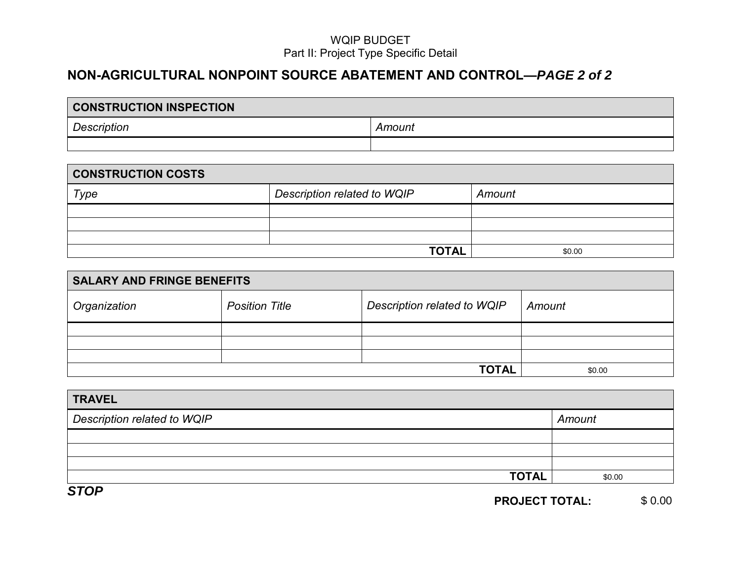# **NON-AGRICULTURAL NONPOINT SOURCE ABATEMENT AND CONTROL—***PAGE 2 of 2*

| <b>CONSTRUCTION INSPECTION</b> |  |  |  |
|--------------------------------|--|--|--|
| <b>Description</b><br>Amount   |  |  |  |
|                                |  |  |  |

| <b>CONSTRUCTION COSTS</b> |                                       |  |  |  |
|---------------------------|---------------------------------------|--|--|--|
| Type                      | Description related to WQIP<br>Amount |  |  |  |
|                           |                                       |  |  |  |
|                           |                                       |  |  |  |
|                           |                                       |  |  |  |
| <b>TOTAL</b><br>\$0.00    |                                       |  |  |  |

| <b>SALARY AND FRINGE BENEFITS</b> |                       |                             |        |
|-----------------------------------|-----------------------|-----------------------------|--------|
| Organization                      | <b>Position Title</b> | Description related to WQIP | Amount |
|                                   |                       |                             |        |
|                                   |                       |                             |        |
|                                   |                       |                             |        |
| <b>TOTAL</b>                      |                       |                             | \$0.00 |

|                             | <b>TOTAL</b> | \$0.00 |
|-----------------------------|--------------|--------|
|                             |              |        |
| <b>TRAVEL</b>               |              |        |
| Description related to WQIP |              | Amount |
|                             |              |        |
|                             |              |        |
|                             |              |        |
|                             | <b>TOTAL</b> | \$0.00 |

*STOP*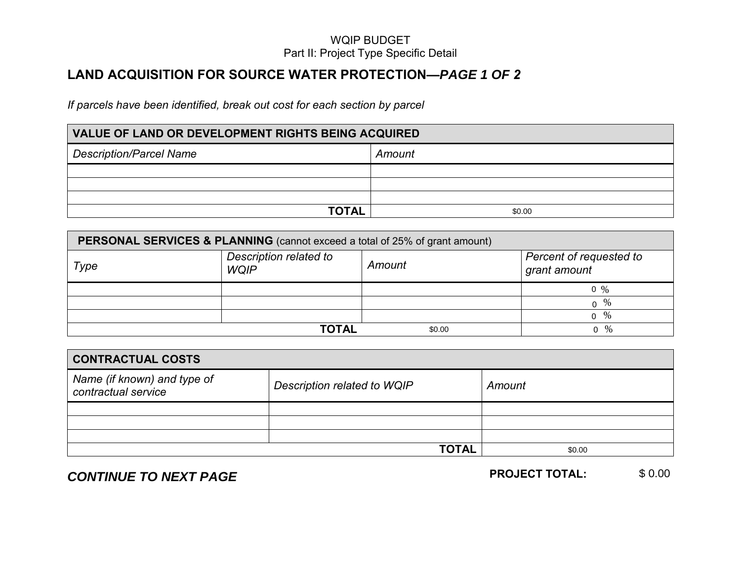## <span id="page-5-0"></span>**LAND ACQUISITION FOR SOURCE WATER PROTECTION—***PAGE 1 OF 2*

*If parcels have been identified, break out cost for each section by parcel*

# **VALUE OF LAND OR DEVELOPMENT RIGHTS BEING ACQUIRED** *Description/Parcel Name* **Amount** *Amount* **TOTAL** \$0.00

| <b>PERSONAL SERVICES &amp; PLANNING</b> (cannot exceed a total of 25% of grant amount) |                                       |                                         |                 |  |
|----------------------------------------------------------------------------------------|---------------------------------------|-----------------------------------------|-----------------|--|
| Type                                                                                   | Description related to<br><b>WQIP</b> | Percent of requested to<br>grant amount |                 |  |
|                                                                                        |                                       |                                         | $0 \frac{9}{6}$ |  |
|                                                                                        |                                       |                                         | $0^{96}$        |  |
|                                                                                        |                                       |                                         | ი %             |  |
| TOTAL<br>%<br>\$0.00<br>$\Omega$                                                       |                                       |                                         |                 |  |

|                                                    |                             |              | $0 \frac{9}{6}$       |        |
|----------------------------------------------------|-----------------------------|--------------|-----------------------|--------|
|                                                    |                             |              | $0^{96}$              |        |
|                                                    |                             |              | $0 \frac{9}{6}$       |        |
|                                                    | <b>TOTAL</b>                | \$0.00       | $0 \frac{9}{6}$       |        |
|                                                    |                             |              |                       |        |
| <b>CONTRACTUAL COSTS</b>                           |                             |              |                       |        |
| Name (if known) and type of<br>contractual service | Description related to WQIP |              | Amount                |        |
|                                                    |                             |              |                       |        |
|                                                    |                             |              |                       |        |
|                                                    |                             |              |                       |        |
|                                                    |                             | <b>TOTAL</b> | \$0.00                |        |
| CONTINUE TO NEXT PAGE                              |                             |              | <b>PROJECT TOTAL:</b> | \$0.00 |

# **CONTINUE TO NEXT PAGE** *PROJECT TOTAL:*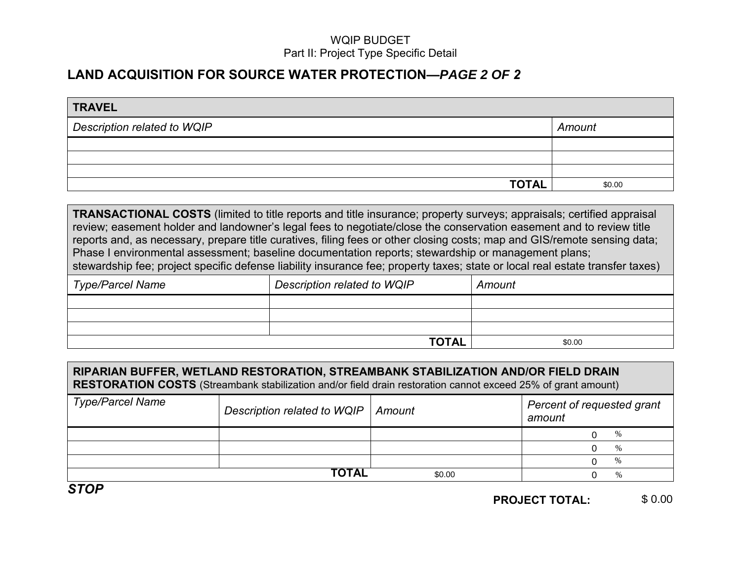## **LAND ACQUISITION FOR SOURCE WATER PROTECTION—***PAGE 2 OF 2*

| <b>TRAVEL</b>               |        |
|-----------------------------|--------|
| Description related to WQIP | Amount |
|                             |        |
|                             |        |
|                             |        |
| <b>TOTAL</b>                | \$0.00 |

**TRANSACTIONAL COSTS** (limited to title reports and title insurance; property surveys; appraisals; certified appraisal review; easement holder and landowner's legal fees to negotiate/close the conservation easement and to review title reports and, as necessary, prepare title curatives, filing fees or other closing costs; map and GIS/remote sensing data; Phase I environmental assessment; baseline documentation reports; stewardship or management plans; stewardship fee; project specific defense liability insurance fee; property taxes; state or local real estate transfer taxes)

| ∣ Type/Parcel Name | Description related to WQIP | Amount |
|--------------------|-----------------------------|--------|
|                    |                             |        |
|                    |                             |        |
|                    |                             |        |
|                    | <b>TOTAL</b>                | \$0.00 |

| RIPARIAN BUFFER, WETLAND RESTORATION, STREAMBANK STABILIZATION AND/OR FIELD DRAIN<br>RESTORATION COSTS (Streambank stabilization and/or field drain restoration cannot exceed 25% of grant amount) |                                                                               |        |               |  |
|----------------------------------------------------------------------------------------------------------------------------------------------------------------------------------------------------|-------------------------------------------------------------------------------|--------|---------------|--|
| <b>Type/Parcel Name</b>                                                                                                                                                                            | Percent of requested grant<br>Description related to WQIP<br>Amount<br>amount |        |               |  |
|                                                                                                                                                                                                    |                                                                               |        | %             |  |
|                                                                                                                                                                                                    |                                                                               |        | $\%$          |  |
|                                                                                                                                                                                                    |                                                                               |        | $\%$          |  |
|                                                                                                                                                                                                    | <b>TOTAL</b>                                                                  | \$0.00 | $\frac{0}{6}$ |  |

*STOP*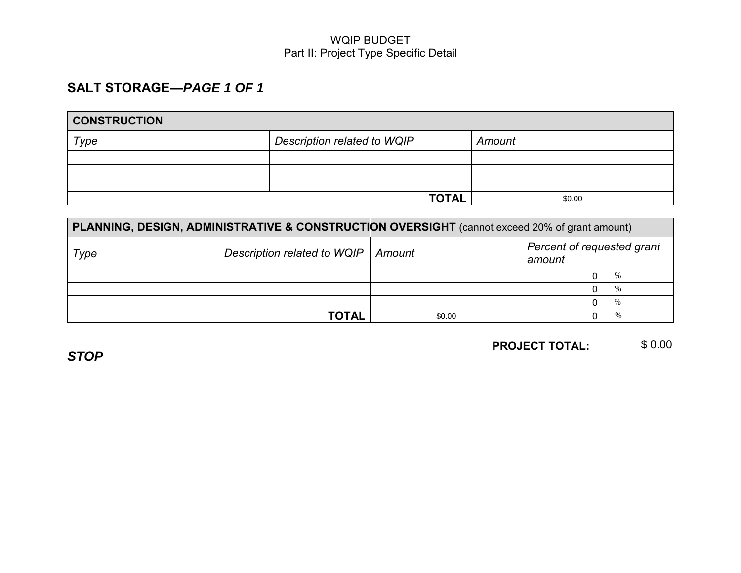## <span id="page-7-0"></span> **SALT STORAGE—***PAGE 1 OF 1*

| <b>CONSTRUCTION</b>    |                             |        |  |  |
|------------------------|-----------------------------|--------|--|--|
| Type                   | Description related to WQIP | Amount |  |  |
|                        |                             |        |  |  |
|                        |                             |        |  |  |
|                        |                             |        |  |  |
| <b>TOTAL</b><br>\$0.00 |                             |        |  |  |

| PLANNING, DESIGN, ADMINISTRATIVE & CONSTRUCTION OVERSIGHT (cannot exceed 20% of grant amount) |                             |                                                |               |
|-----------------------------------------------------------------------------------------------|-----------------------------|------------------------------------------------|---------------|
| Type                                                                                          | Description related to WQIP | Percent of requested grant<br>Amount<br>amount |               |
|                                                                                               |                             |                                                | $\%$          |
|                                                                                               |                             |                                                | $\%$          |
|                                                                                               |                             |                                                | $\frac{0}{0}$ |
| TOTAL<br>%<br>\$0.00                                                                          |                             |                                                |               |

*STOP*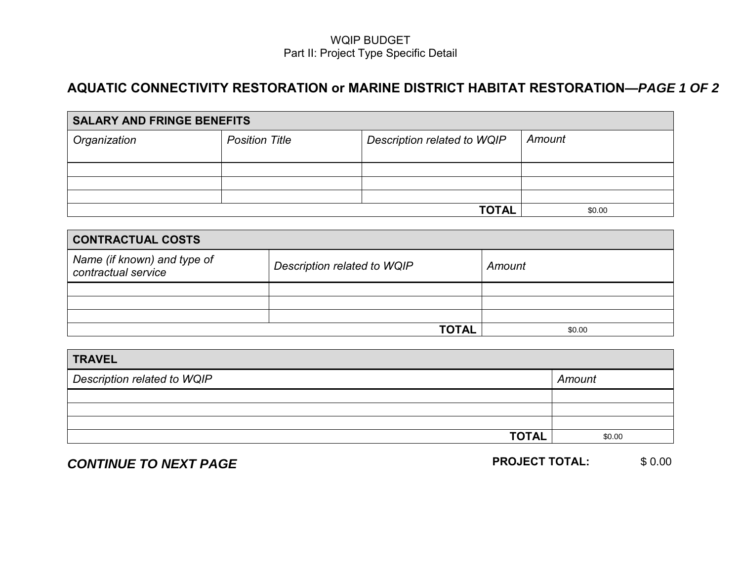## <span id="page-8-0"></span>**AQUATIC CONNECTIVITY RESTORATION or MARINE DISTRICT HABITAT RESTORATION—***PAGE 1 OF 2*

| <b>SALARY AND FRINGE BENEFITS</b> |                       |                             |        |  |
|-----------------------------------|-----------------------|-----------------------------|--------|--|
| Organization                      | <b>Position Title</b> | Description related to WQIP | Amount |  |
|                                   |                       |                             |        |  |
|                                   |                       |                             |        |  |
|                                   |                       |                             |        |  |
|                                   |                       |                             |        |  |
| <b>TOTAL</b>                      |                       |                             | \$0.00 |  |

| <b>CONTRACTUAL COSTS</b>                           |                             |        |  |
|----------------------------------------------------|-----------------------------|--------|--|
| Name (if known) and type of<br>contractual service | Description related to WQIP | Amount |  |
|                                                    |                             |        |  |
|                                                    |                             |        |  |
|                                                    |                             |        |  |
|                                                    | <b>TOTAL</b>                | \$0.00 |  |

| <b>TRAVEL</b>               |        |
|-----------------------------|--------|
| Description related to WQIP | Amount |
|                             |        |
|                             |        |
|                             |        |
| <b>TOTAL</b>                | \$0.00 |

# **CONTINUE TO NEXT PAGE PROJECT TOTAL:**

\$ 0.00